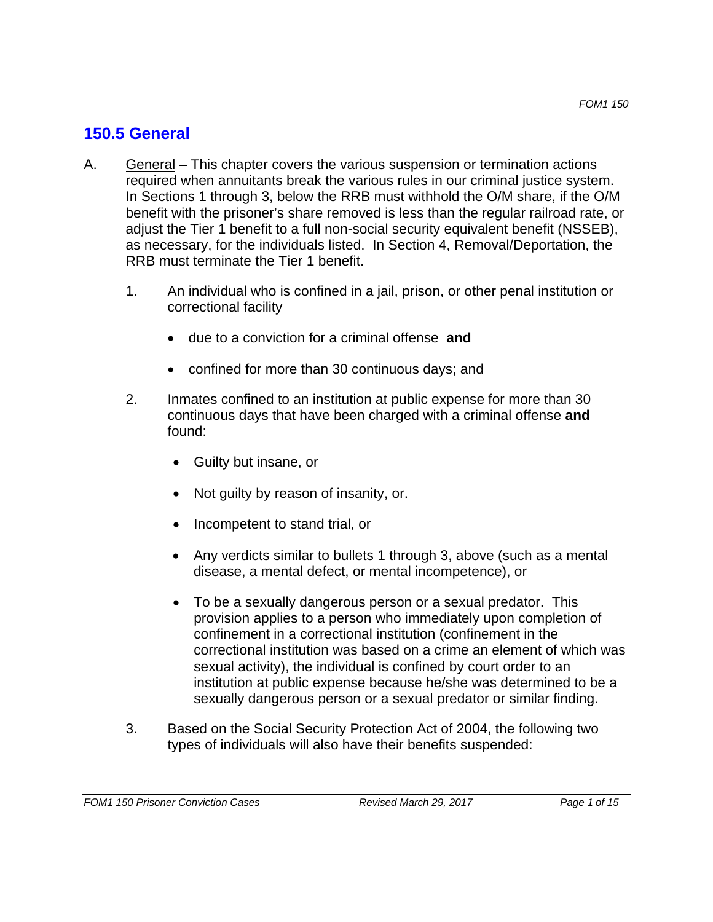## **150.5 General**

- A. General This chapter covers the various suspension or termination actions required when annuitants break the various rules in our criminal justice system. In Sections 1 through 3, below the RRB must withhold the O/M share, if the O/M benefit with the prisoner's share removed is less than the regular railroad rate, or adjust the Tier 1 benefit to a full non-social security equivalent benefit (NSSEB), as necessary, for the individuals listed. In Section 4, Removal/Deportation, the RRB must terminate the Tier 1 benefit.
	- 1. An individual who is confined in a jail, prison, or other penal institution or correctional facility
		- due to a conviction for a criminal offense **and**
		- confined for more than 30 continuous days; and
	- 2. Inmates confined to an institution at public expense for more than 30 continuous days that have been charged with a criminal offense **and**  found:
		- Guilty but insane, or
		- Not quilty by reason of insanity, or.
		- Incompetent to stand trial, or
		- Any verdicts similar to bullets 1 through 3, above (such as a mental disease, a mental defect, or mental incompetence), or
		- To be a sexually dangerous person or a sexual predator. This provision applies to a person who immediately upon completion of confinement in a correctional institution (confinement in the correctional institution was based on a crime an element of which was sexual activity), the individual is confined by court order to an institution at public expense because he/she was determined to be a sexually dangerous person or a sexual predator or similar finding.
	- 3. Based on the Social Security Protection Act of 2004, the following two types of individuals will also have their benefits suspended: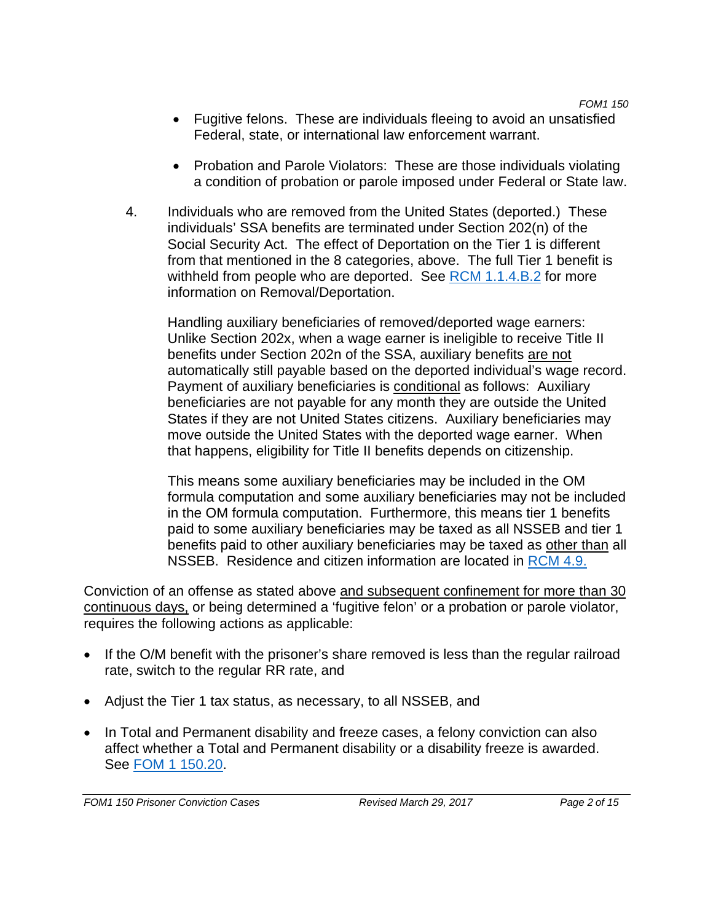- Fugitive felons. These are individuals fleeing to avoid an unsatisfied Federal, state, or international law enforcement warrant.
- Probation and Parole Violators: These are those individuals violating a condition of probation or parole imposed under Federal or State law.
- 4. Individuals who are removed from the United States (deported.) These individuals' SSA benefits are terminated under Section 202(n) of the Social Security Act. The effect of Deportation on the Tier 1 is different from that mentioned in the 8 categories, above. The full Tier 1 benefit is withheld from people who are deported. See RCM 1.1.4.B.2 for more information on Removal/Deportation.

Handling auxiliary beneficiaries of removed/deported wage earners: Unlike Section 202x, when a wage earner is ineligible to receive Title II benefits under Section 202n of the SSA, auxiliary benefits are not automatically still payable based on the deported individual's wage record. Payment of auxiliary beneficiaries is conditional as follows: Auxiliary beneficiaries are not payable for any month they are outside the United States if they are not United States citizens. Auxiliary beneficiaries may move outside the United States with the deported wage earner. When that happens, eligibility for Title II benefits depends on citizenship.

NSSEB. Residence and citizen information are located in RCM 4.9. This means some auxiliary beneficiaries may be included in the OM formula computation and some auxiliary beneficiaries may not be included in the OM formula computation. Furthermore, this means tier 1 benefits paid to some auxiliary beneficiaries may be taxed as all NSSEB and tier 1 benefits paid to other auxiliary beneficiaries may be taxed as other than all

Conviction of an offense as stated above and subsequent confinement for more than 30 continuous days, or being determined a 'fugitive felon' or a probation or parole violator, requires the following actions as applicable:

- If the O/M benefit with the prisoner's share removed is less than the regular railroad rate, switch to the regular RR rate, and
- Adjust the Tier 1 tax status, as necessary, to all NSSEB, and
- In Total and Permanent disability and freeze cases, a felony conviction can also affect whether a Total and Permanent disability or a disability freeze is awarded. See FOM 1 150.20.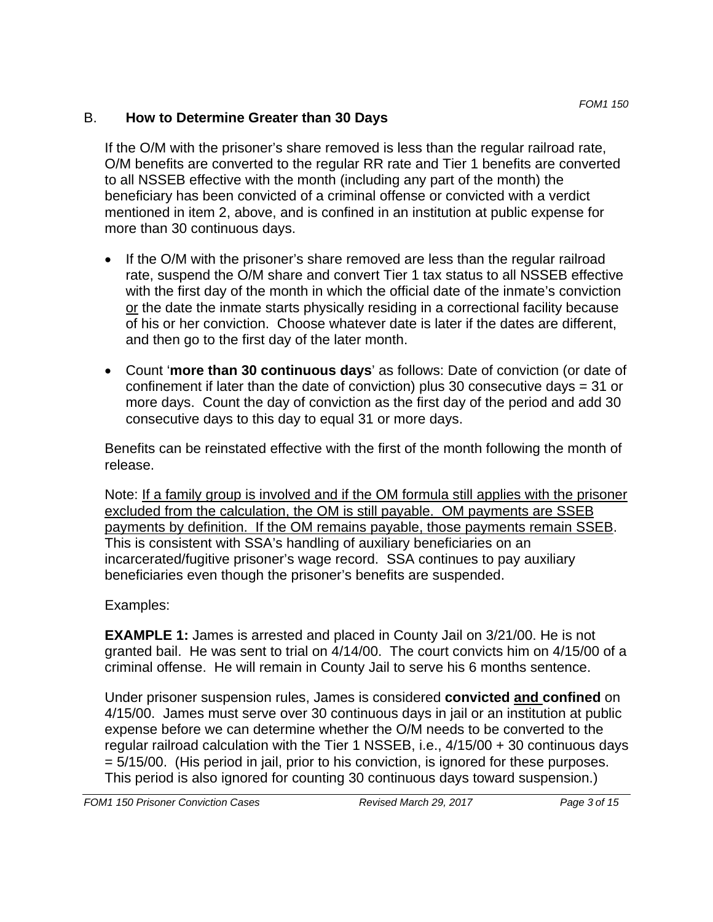### B. **How to Determine Greater than 30 Days**

If the O/M with the prisoner's share removed is less than the regular railroad rate, O/M benefits are converted to the regular RR rate and Tier 1 benefits are converted to all NSSEB effective with the month (including any part of the month) the beneficiary has been convicted of a criminal offense or convicted with a verdict mentioned in item 2, above, and is confined in an institution at public expense for more than 30 continuous days.

- If the O/M with the prisoner's share removed are less than the regular railroad rate, suspend the O/M share and convert Tier 1 tax status to all NSSEB effective with the first day of the month in which the official date of the inmate's conviction or the date the inmate starts physically residing in a correctional facility because of his or her conviction. Choose whatever date is later if the dates are different, and then go to the first day of the later month.
- Count '**more than 30 continuous days**' as follows: Date of conviction (or date of confinement if later than the date of conviction) plus 30 consecutive days = 31 or more days. Count the day of conviction as the first day of the period and add 30 consecutive days to this day to equal 31 or more days.

Benefits can be reinstated effective with the first of the month following the month of release.

Note: If a family group is involved and if the OM formula still applies with the prisoner excluded from the calculation, the OM is still payable. OM payments are SSEB payments by definition. If the OM remains payable, those payments remain SSEB. This is consistent with SSA's handling of auxiliary beneficiaries on an incarcerated/fugitive prisoner's wage record. SSA continues to pay auxiliary beneficiaries even though the prisoner's benefits are suspended.

## Examples:

**EXAMPLE 1:** James is arrested and placed in County Jail on 3/21/00. He is not granted bail. He was sent to trial on 4/14/00. The court convicts him on 4/15/00 of a criminal offense. He will remain in County Jail to serve his 6 months sentence.

Under prisoner suspension rules, James is considered **convicted and confined** on 4/15/00. James must serve over 30 continuous days in jail or an institution at public expense before we can determine whether the O/M needs to be converted to the regular railroad calculation with the Tier 1 NSSEB, i.e., 4/15/00 + 30 continuous days = 5/15/00. (His period in jail, prior to his conviction, is ignored for these purposes. This period is also ignored for counting 30 continuous days toward suspension.)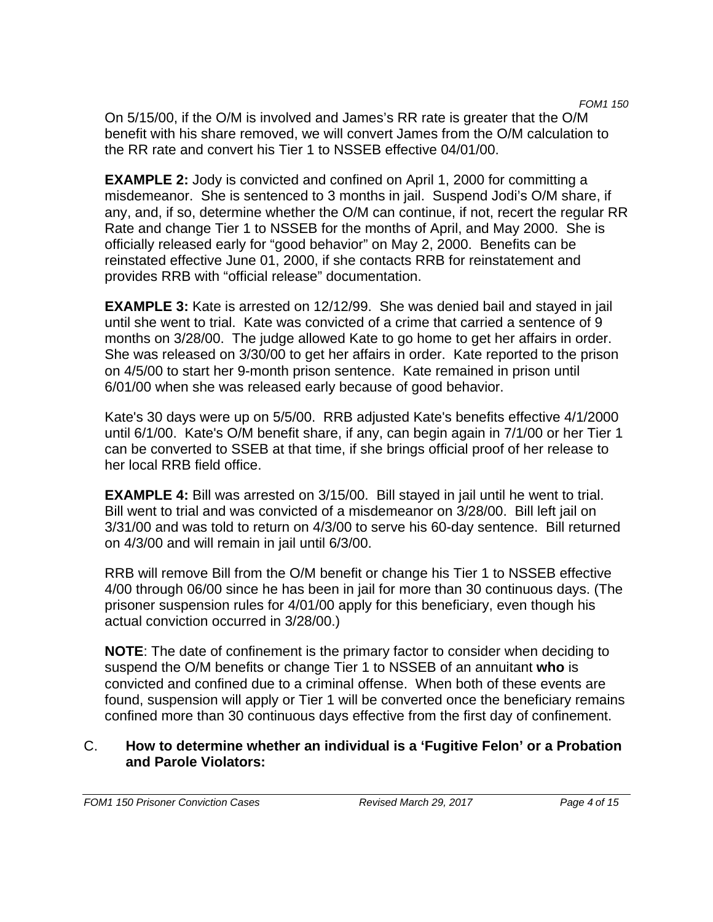*FOM1 150*  On 5/15/00, if the O/M is involved and James's RR rate is greater that the O/M benefit with his share removed, we will convert James from the O/M calculation to the RR rate and convert his Tier 1 to NSSEB effective 04/01/00.

**EXAMPLE 2:** Jody is convicted and confined on April 1, 2000 for committing a misdemeanor. She is sentenced to 3 months in jail. Suspend Jodi's O/M share, if any, and, if so, determine whether the O/M can continue, if not, recert the regular RR Rate and change Tier 1 to NSSEB for the months of April, and May 2000. She is officially released early for "good behavior" on May 2, 2000. Benefits can be reinstated effective June 01, 2000, if she contacts RRB for reinstatement and provides RRB with "official release" documentation.

**EXAMPLE 3:** Kate is arrested on 12/12/99. She was denied bail and stayed in jail until she went to trial. Kate was convicted of a crime that carried a sentence of 9 months on 3/28/00. The judge allowed Kate to go home to get her affairs in order. She was released on 3/30/00 to get her affairs in order. Kate reported to the prison on 4/5/00 to start her 9-month prison sentence. Kate remained in prison until 6/01/00 when she was released early because of good behavior.

Kate's 30 days were up on 5/5/00. RRB adjusted Kate's benefits effective 4/1/2000 until 6/1/00. Kate's O/M benefit share, if any, can begin again in 7/1/00 or her Tier 1 can be converted to SSEB at that time, if she brings official proof of her release to her local RRB field office.

**EXAMPLE 4:** Bill was arrested on 3/15/00. Bill stayed in jail until he went to trial. Bill went to trial and was convicted of a misdemeanor on 3/28/00. Bill left jail on 3/31/00 and was told to return on 4/3/00 to serve his 60-day sentence. Bill returned on 4/3/00 and will remain in jail until 6/3/00.

RRB will remove Bill from the O/M benefit or change his Tier 1 to NSSEB effective 4/00 through 06/00 since he has been in jail for more than 30 continuous days. (The prisoner suspension rules for 4/01/00 apply for this beneficiary, even though his actual conviction occurred in 3/28/00.)

**NOTE**: The date of confinement is the primary factor to consider when deciding to suspend the O/M benefits or change Tier 1 to NSSEB of an annuitant **who** is convicted and confined due to a criminal offense. When both of these events are found, suspension will apply or Tier 1 will be converted once the beneficiary remains confined more than 30 continuous days effective from the first day of confinement.

### C. **How to determine whether an individual is a 'Fugitive Felon' or a Probation and Parole Violators:**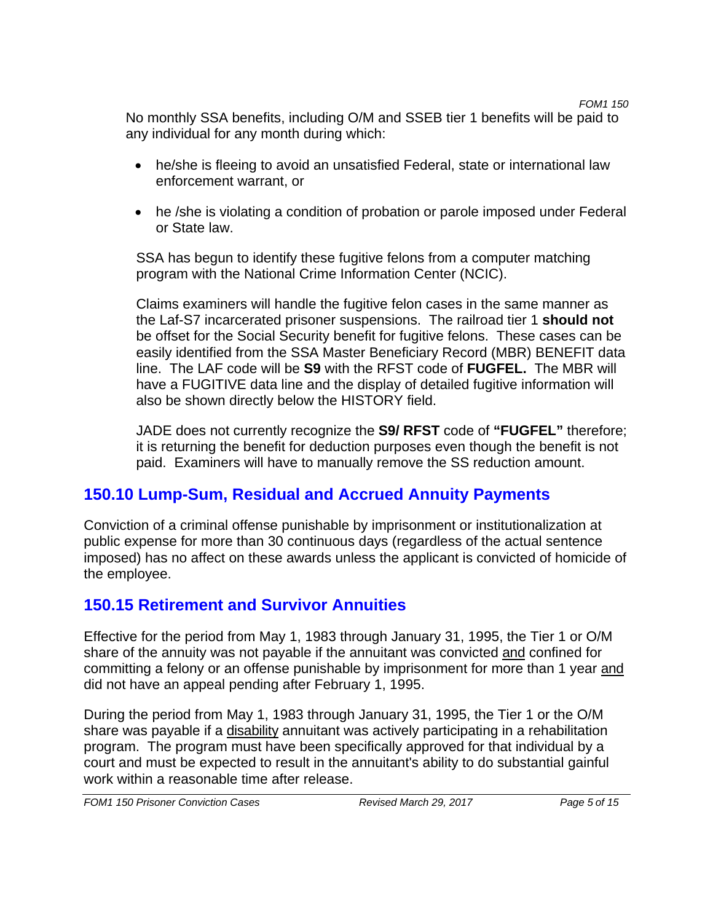*FOM1 150* 

No monthly SSA benefits, including O/M and SSEB tier 1 benefits will be paid to any individual for any month during which:

- he/she is fleeing to avoid an unsatisfied Federal, state or international law enforcement warrant, or
- he /she is violating a condition of probation or parole imposed under Federal or State law.

SSA has begun to identify these fugitive felons from a computer matching program with the National Crime Information Center (NCIC).

Claims examiners will handle the fugitive felon cases in the same manner as the Laf-S7 incarcerated prisoner suspensions. The railroad tier 1 **should not**  be offset for the Social Security benefit for fugitive felons. These cases can be easily identified from the SSA Master Beneficiary Record (MBR) BENEFIT data line. The LAF code will be **S9** with the RFST code of **FUGFEL.** The MBR will have a FUGITIVE data line and the display of detailed fugitive information will also be shown directly below the HISTORY field.

JADE does not currently recognize the **S9/ RFST** code of **"FUGFEL"** therefore; it is returning the benefit for deduction purposes even though the benefit is not paid. Examiners will have to manually remove the SS reduction amount.

# **150.10 Lump-Sum, Residual and Accrued Annuity Payments**

Conviction of a criminal offense punishable by imprisonment or institutionalization at public expense for more than 30 continuous days (regardless of the actual sentence imposed) has no affect on these awards unless the applicant is convicted of homicide of the employee.

# **150.15 Retirement and Survivor Annuities**

Effective for the period from May 1, 1983 through January 31, 1995, the Tier 1 or O/M share of the annuity was not payable if the annuitant was convicted and confined for committing a felony or an offense punishable by imprisonment for more than 1 year and did not have an appeal pending after February 1, 1995.

During the period from May 1, 1983 through January 31, 1995, the Tier 1 or the O/M share was payable if a disability annuitant was actively participating in a rehabilitation program. The program must have been specifically approved for that individual by a court and must be expected to result in the annuitant's ability to do substantial gainful work within a reasonable time after release.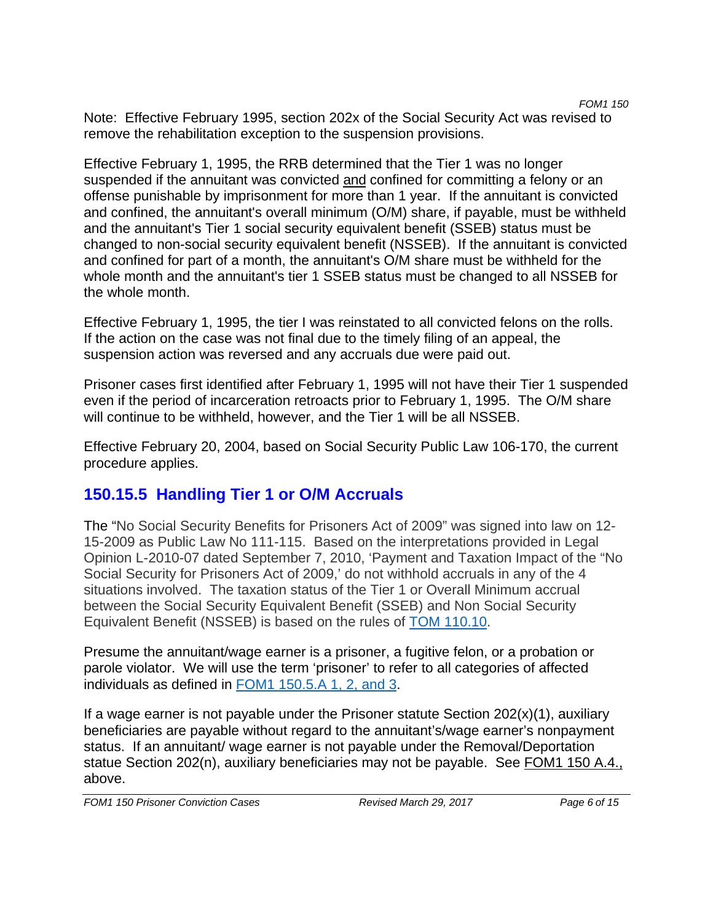Note: Effective February 1995, section 202x of the Social Security Act was revised to remove the rehabilitation exception to the suspension provisions.

Effective February 1, 1995, the RRB determined that the Tier 1 was no longer suspended if the annuitant was convicted and confined for committing a felony or an offense punishable by imprisonment for more than 1 year. If the annuitant is convicted and confined, the annuitant's overall minimum (O/M) share, if payable, must be withheld and the annuitant's Tier 1 social security equivalent benefit (SSEB) status must be changed to non-social security equivalent benefit (NSSEB). If the annuitant is convicted and confined for part of a month, the annuitant's O/M share must be withheld for the whole month and the annuitant's tier 1 SSEB status must be changed to all NSSEB for the whole month.

Effective February 1, 1995, the tier I was reinstated to all convicted felons on the rolls. If the action on the case was not final due to the timely filing of an appeal, the suspension action was reversed and any accruals due were paid out.

Prisoner cases first identified after February 1, 1995 will not have their Tier 1 suspended even if the period of incarceration retroacts prior to February 1, 1995. The O/M share will continue to be withheld, however, and the Tier 1 will be all NSSEB.

Effective February 20, 2004, based on Social Security Public Law 106-170, the current procedure applies.

# **150.15.5 Handling Tier 1 or O/M Accruals**

The "No Social Security Benefits for Prisoners Act of 2009" was signed into law on 12- 15-2009 as Public Law No 111-115. Based on the interpretations provided in Legal Opinion L-2010-07 dated September 7, 2010, 'Payment and Taxation Impact of the "No Social Security for Prisoners Act of 2009,' do not withhold accruals in any of the 4 situations involved. The taxation status of the Tier 1 or Overall Minimum accrual between the Social Security Equivalent Benefit (SSEB) and Non Social Security Equivalent Benefit (NSSEB) is based on the rules of TOM 110.10.

Presume the annuitant/wage earner is a prisoner, a fugitive felon, or a probation or parole violator. We will use the term 'prisoner' to refer to all categories of affected individuals as defined in FOM1 150.5.A 1, 2, and 3.

If a wage earner is not payable under the Prisoner statute Section  $202(x)(1)$ , auxiliary beneficiaries are payable without regard to the annuitant's/wage earner's nonpayment status. If an annuitant/ wage earner is not payable under the Removal/Deportation statue Section 202(n), auxiliary beneficiaries may not be payable. See FOM1 150 A.4., above.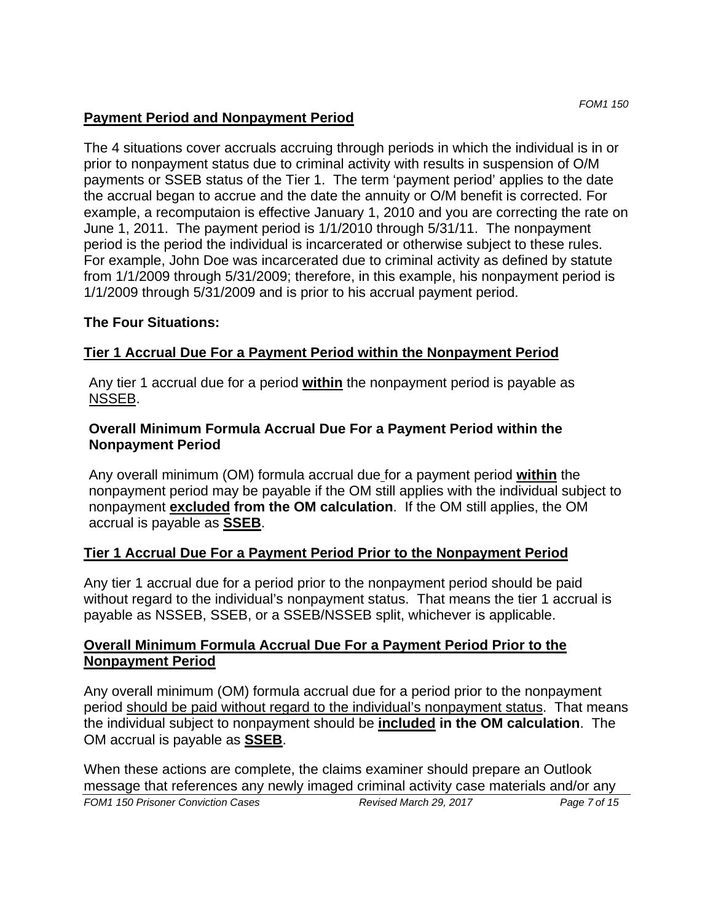### **Payment Period and Nonpayment Period**

The 4 situations cover accruals accruing through periods in which the individual is in or prior to nonpayment status due to criminal activity with results in suspension of O/M payments or SSEB status of the Tier 1. The term 'payment period' applies to the date the accrual began to accrue and the date the annuity or O/M benefit is corrected. For example, a recomputaion is effective January 1, 2010 and you are correcting the rate on June 1, 2011. The payment period is 1/1/2010 through 5/31/11. The nonpayment period is the period the individual is incarcerated or otherwise subject to these rules. For example, John Doe was incarcerated due to criminal activity as defined by statute from 1/1/2009 through 5/31/2009; therefore, in this example, his nonpayment period is 1/1/2009 through 5/31/2009 and is prior to his accrual payment period.

#### **The Four Situations:**

### **Tier 1 Accrual Due For a Payment Period within the Nonpayment Period**

Any tier 1 accrual due for a period **within** the nonpayment period is payable as NSSEB.

#### **Overall Minimum Formula Accrual Due For a Payment Period within the Nonpayment Period**

Any overall minimum (OM) formula accrual due for a payment period **within** the nonpayment period may be payable if the OM still applies with the individual subject to nonpayment **excluded from the OM calculation**. If the OM still applies, the OM accrual is payable as **SSEB**.

### **Tier 1 Accrual Due For a Payment Period Prior to the Nonpayment Period**

Any tier 1 accrual due for a period prior to the nonpayment period should be paid without regard to the individual's nonpayment status. That means the tier 1 accrual is payable as NSSEB, SSEB, or a SSEB/NSSEB split, whichever is applicable.

#### **Overall Minimum Formula Accrual Due For a Payment Period Prior to the Nonpayment Period**

Any overall minimum (OM) formula accrual due for a period prior to the nonpayment period should be paid without regard to the individual's nonpayment status. That means the individual subject to nonpayment should be **included in the OM calculation**. The OM accrual is payable as **SSEB**.

When these actions are complete, the claims examiner should prepare an Outlook message that references any newly imaged criminal activity case materials and/or any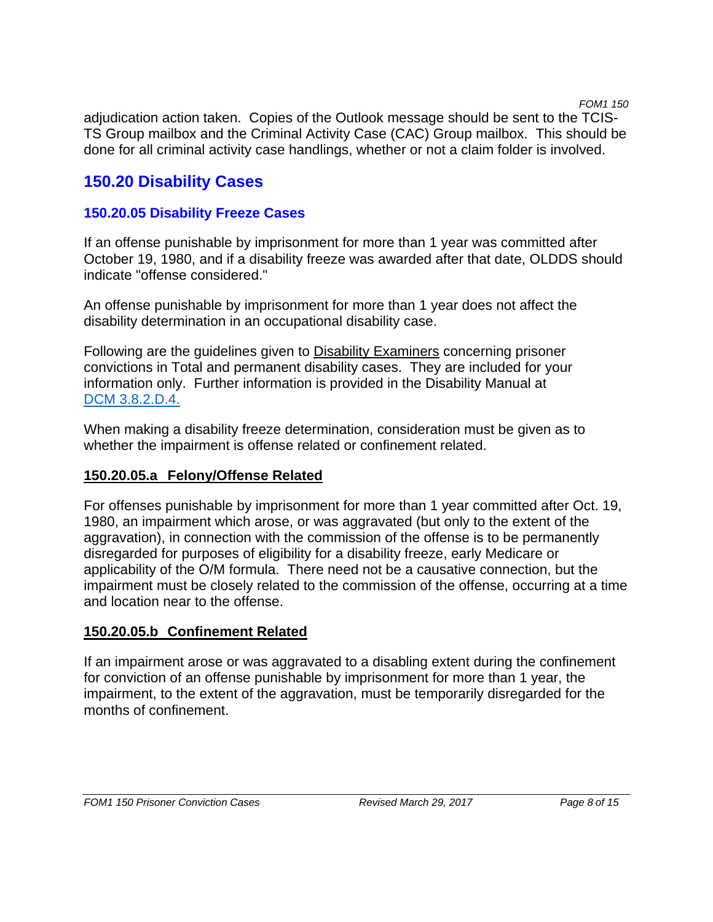*FOM1 150* 

adjudication action taken. Copies of the Outlook message should be sent to the TCIS-TS Group mailbox and the Criminal Activity Case (CAC) Group mailbox. This should be done for all criminal activity case handlings, whether or not a claim folder is involved.

# **150.20 Disability Cases**

### **150.20.05 Disability Freeze Cases**

If an offense punishable by imprisonment for more than 1 year was committed after October 19, 1980, and if a disability freeze was awarded after that date, OLDDS should indicate "offense considered."

An offense punishable by imprisonment for more than 1 year does not affect the disability determination in an occupational disability case.

Following are the guidelines given to **Disability Examiners concerning prisoner** convictions in Total and permanent disability cases. They are included for your information only. Further information is provided in the Disability Manual at DCM 3.8.2.D.4.

When making a disability freeze determination, consideration must be given as to whether the impairment is offense related or confinement related.

### **150.20.05.a Felony/Offense Related**

For offenses punishable by imprisonment for more than 1 year committed after Oct. 19, 1980, an impairment which arose, or was aggravated (but only to the extent of the aggravation), in connection with the commission of the offense is to be permanently disregarded for purposes of eligibility for a disability freeze, early Medicare or applicability of the O/M formula. There need not be a causative connection, but the impairment must be closely related to the commission of the offense, occurring at a time and location near to the offense.

### **150.20.05.b Confinement Related**

If an impairment arose or was aggravated to a disabling extent during the confinement for conviction of an offense punishable by imprisonment for more than 1 year, the impairment, to the extent of the aggravation, must be temporarily disregarded for the months of confinement.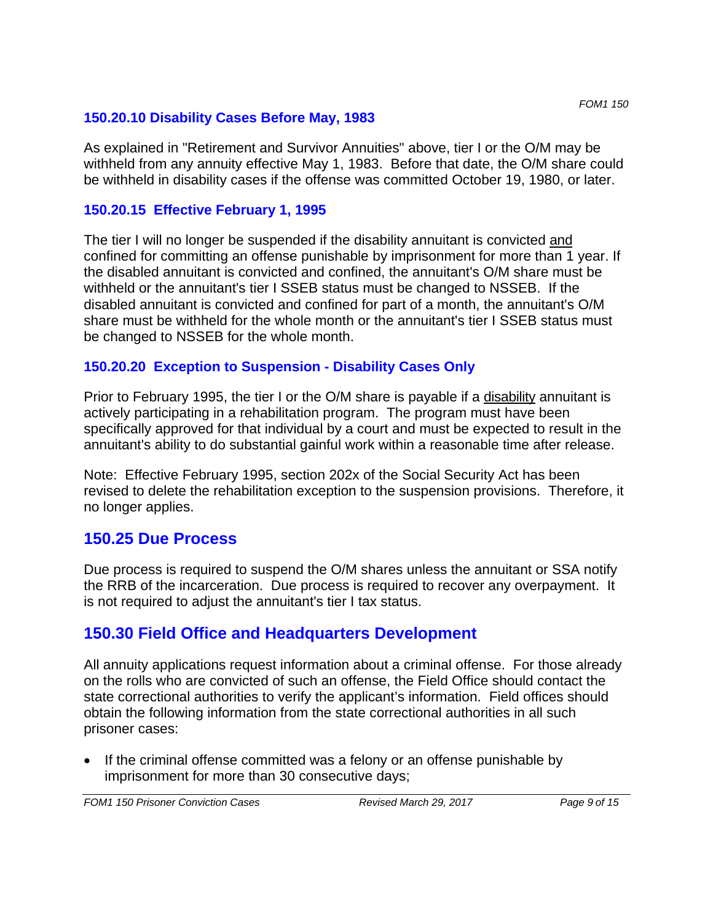As explained in "Retirement and Survivor Annuities" above, tier I or the O/M may be withheld from any annuity effective May 1, 1983. Before that date, the O/M share could be withheld in disability cases if the offense was committed October 19, 1980, or later.

## **150.20.15 Effective February 1, 1995**

The tier I will no longer be suspended if the disability annuitant is convicted and confined for committing an offense punishable by imprisonment for more than 1 year. If the disabled annuitant is convicted and confined, the annuitant's O/M share must be withheld or the annuitant's tier I SSEB status must be changed to NSSEB. If the disabled annuitant is convicted and confined for part of a month, the annuitant's O/M share must be withheld for the whole month or the annuitant's tier I SSEB status must be changed to NSSEB for the whole month.

## **150.20.20 Exception to Suspension - Disability Cases Only**

Prior to February 1995, the tier I or the O/M share is payable if a disability annuitant is actively participating in a rehabilitation program. The program must have been specifically approved for that individual by a court and must be expected to result in the annuitant's ability to do substantial gainful work within a reasonable time after release.

Note: Effective February 1995, section 202x of the Social Security Act has been revised to delete the rehabilitation exception to the suspension provisions. Therefore, it no longer applies.

# **150.25 Due Process**

Due process is required to suspend the O/M shares unless the annuitant or SSA notify the RRB of the incarceration. Due process is required to recover any overpayment. It is not required to adjust the annuitant's tier I tax status.

# **150.30 Field Office and Headquarters Development**

All annuity applications request information about a criminal offense. For those already on the rolls who are convicted of such an offense, the Field Office should contact the state correctional authorities to verify the applicant's information. Field offices should obtain the following information from the state correctional authorities in all such prisoner cases:

 If the criminal offense committed was a felony or an offense punishable by imprisonment for more than 30 consecutive days;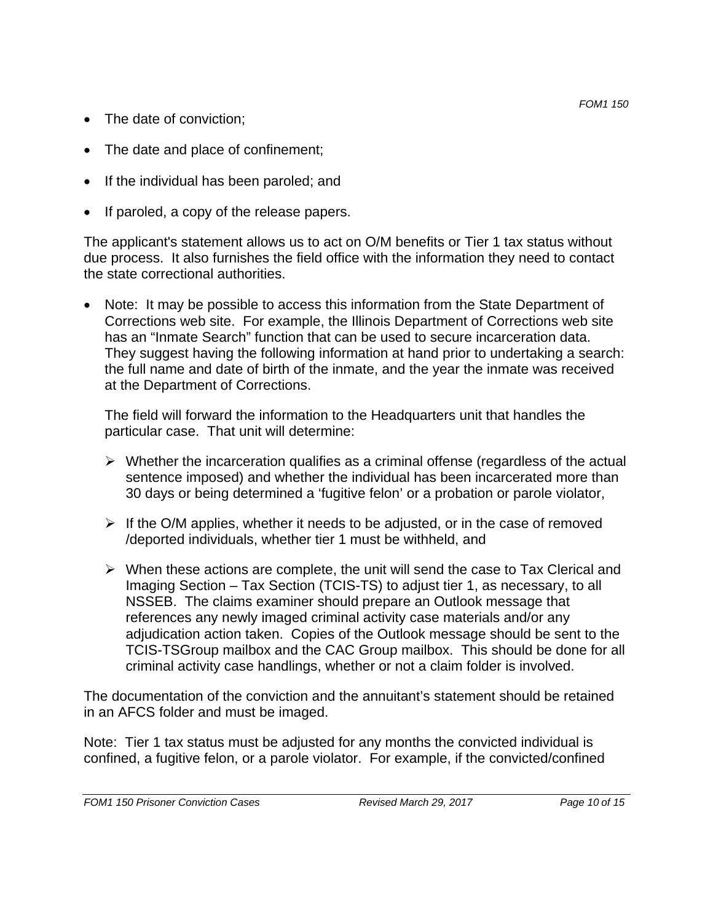- The date of conviction;
- The date and place of confinement;
- If the individual has been paroled; and
- If paroled, a copy of the release papers.

The applicant's statement allows us to act on O/M benefits or Tier 1 tax status without due process. It also furnishes the field office with the information they need to contact the state correctional authorities.

• Note: It may be possible to access this information from the State Department of Corrections web site. For example, the Illinois Department of Corrections web site has an "Inmate Search" function that can be used to secure incarceration data. They suggest having the following information at hand prior to undertaking a search: the full name and date of birth of the inmate, and the year the inmate was received at the Department of Corrections.

The field will forward the information to the Headquarters unit that handles the particular case. That unit will determine:

- $\triangleright$  Whether the incarceration qualifies as a criminal offense (regardless of the actual sentence imposed) and whether the individual has been incarcerated more than 30 days or being determined a 'fugitive felon' or a probation or parole violator,
- $\triangleright$  If the O/M applies, whether it needs to be adjusted, or in the case of removed /deported individuals, whether tier 1 must be withheld, and
- $\triangleright$  When these actions are complete, the unit will send the case to Tax Clerical and Imaging Section – Tax Section (TCIS-TS) to adjust tier 1, as necessary, to all NSSEB. The claims examiner should prepare an Outlook message that references any newly imaged criminal activity case materials and/or any adjudication action taken. Copies of the Outlook message should be sent to the TCIS-TSGroup mailbox and the CAC Group mailbox. This should be done for all criminal activity case handlings, whether or not a claim folder is involved.

The documentation of the conviction and the annuitant's statement should be retained in an AFCS folder and must be imaged.

Note: Tier 1 tax status must be adjusted for any months the convicted individual is confined, a fugitive felon, or a parole violator. For example, if the convicted/confined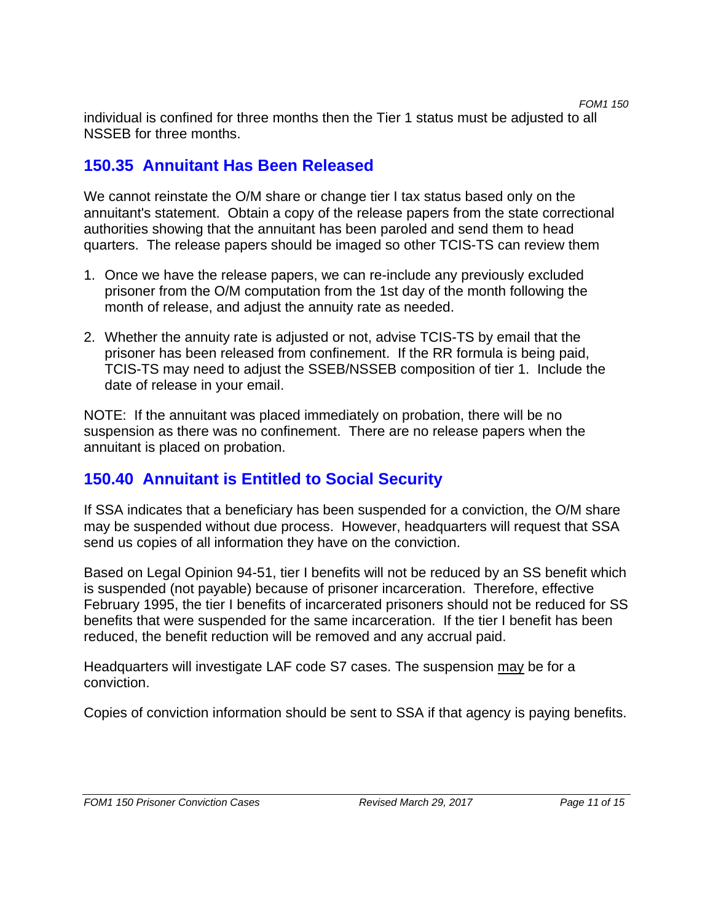individual is confined for three months then the Tier 1 status must be adjusted to all NSSEB for three months.

# **150.35 Annuitant Has Been Released**

We cannot reinstate the O/M share or change tier I tax status based only on the annuitant's statement. Obtain a copy of the release papers from the state correctional authorities showing that the annuitant has been paroled and send them to head quarters. The release papers should be imaged so other TCIS-TS can review them

- 1. Once we have the release papers, we can re-include any previously excluded prisoner from the O/M computation from the 1st day of the month following the month of release, and adjust the annuity rate as needed.
- 2. Whether the annuity rate is adjusted or not, advise TCIS-TS by email that the prisoner has been released from confinement. If the RR formula is being paid, TCIS-TS may need to adjust the SSEB/NSSEB composition of tier 1. Include the date of release in your email.

NOTE: If the annuitant was placed immediately on probation, there will be no suspension as there was no confinement. There are no release papers when the annuitant is placed on probation.

# **150.40 Annuitant is Entitled to Social Security**

If SSA indicates that a beneficiary has been suspended for a conviction, the O/M share may be suspended without due process. However, headquarters will request that SSA send us copies of all information they have on the conviction.

Based on Legal Opinion 94-51, tier I benefits will not be reduced by an SS benefit which is suspended (not payable) because of prisoner incarceration. Therefore, effective February 1995, the tier I benefits of incarcerated prisoners should not be reduced for SS benefits that were suspended for the same incarceration. If the tier I benefit has been reduced, the benefit reduction will be removed and any accrual paid.

Headquarters will investigate LAF code S7 cases. The suspension may be for a conviction.

Copies of conviction information should be sent to SSA if that agency is paying benefits.

*FOM1 150*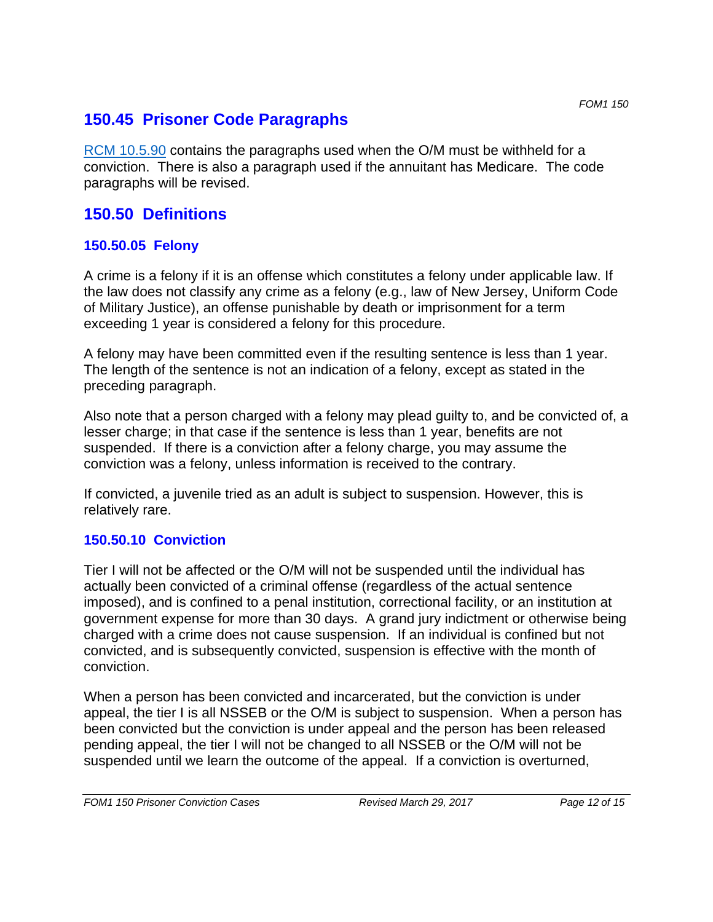## **150.45 Prisoner Code Paragraphs**

RCM 10.5.90 contains the paragraphs used when the O/M must be withheld for a conviction. There is also a paragraph used if the annuitant has Medicare. The code paragraphs will be revised.

## **150.50 Definitions**

### **150.50.05 Felony**

A crime is a felony if it is an offense which constitutes a felony under applicable law. If the law does not classify any crime as a felony (e.g., law of New Jersey, Uniform Code of Military Justice), an offense punishable by death or imprisonment for a term exceeding 1 year is considered a felony for this procedure.

A felony may have been committed even if the resulting sentence is less than 1 year. The length of the sentence is not an indication of a felony, except as stated in the preceding paragraph.

Also note that a person charged with a felony may plead guilty to, and be convicted of, a lesser charge; in that case if the sentence is less than 1 year, benefits are not suspended. If there is a conviction after a felony charge, you may assume the conviction was a felony, unless information is received to the contrary.

If convicted, a juvenile tried as an adult is subject to suspension. However, this is relatively rare.

## **150.50.10 Conviction**

Tier I will not be affected or the O/M will not be suspended until the individual has actually been convicted of a criminal offense (regardless of the actual sentence imposed), and is confined to a penal institution, correctional facility, or an institution at government expense for more than 30 days. A grand jury indictment or otherwise being charged with a crime does not cause suspension. If an individual is confined but not convicted, and is subsequently convicted, suspension is effective with the month of conviction.

When a person has been convicted and incarcerated, but the conviction is under appeal, the tier I is all NSSEB or the O/M is subject to suspension. When a person has been convicted but the conviction is under appeal and the person has been released pending appeal, the tier I will not be changed to all NSSEB or the O/M will not be suspended until we learn the outcome of the appeal. If a conviction is overturned,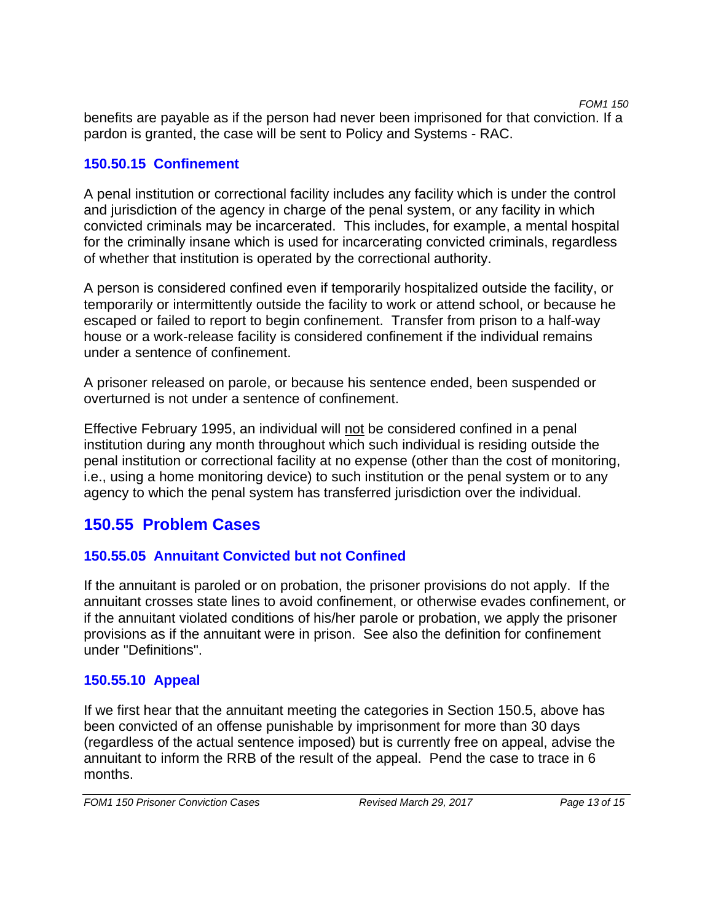*FOM1 150*  benefits are payable as if the person had never been imprisoned for that conviction. If a pardon is granted, the case will be sent to Policy and Systems - RAC.

### **150.50.15 Confinement**

A penal institution or correctional facility includes any facility which is under the control and jurisdiction of the agency in charge of the penal system, or any facility in which convicted criminals may be incarcerated. This includes, for example, a mental hospital for the criminally insane which is used for incarcerating convicted criminals, regardless of whether that institution is operated by the correctional authority.

A person is considered confined even if temporarily hospitalized outside the facility, or temporarily or intermittently outside the facility to work or attend school, or because he escaped or failed to report to begin confinement. Transfer from prison to a half-way house or a work-release facility is considered confinement if the individual remains under a sentence of confinement.

A prisoner released on parole, or because his sentence ended, been suspended or overturned is not under a sentence of confinement.

Effective February 1995, an individual will not be considered confined in a penal institution during any month throughout which such individual is residing outside the penal institution or correctional facility at no expense (other than the cost of monitoring, i.e., using a home monitoring device) to such institution or the penal system or to any agency to which the penal system has transferred jurisdiction over the individual.

# **150.55 Problem Cases**

## **150.55.05 Annuitant Convicted but not Confined**

If the annuitant is paroled or on probation, the prisoner provisions do not apply. If the annuitant crosses state lines to avoid confinement, or otherwise evades confinement, or if the annuitant violated conditions of his/her parole or probation, we apply the prisoner provisions as if the annuitant were in prison. See also the definition for confinement under "Definitions".

## **150.55.10 Appeal**

If we first hear that the annuitant meeting the categories in Section 150.5, above has been convicted of an offense punishable by imprisonment for more than 30 days (regardless of the actual sentence imposed) but is currently free on appeal, advise the annuitant to inform the RRB of the result of the appeal. Pend the case to trace in 6 months.